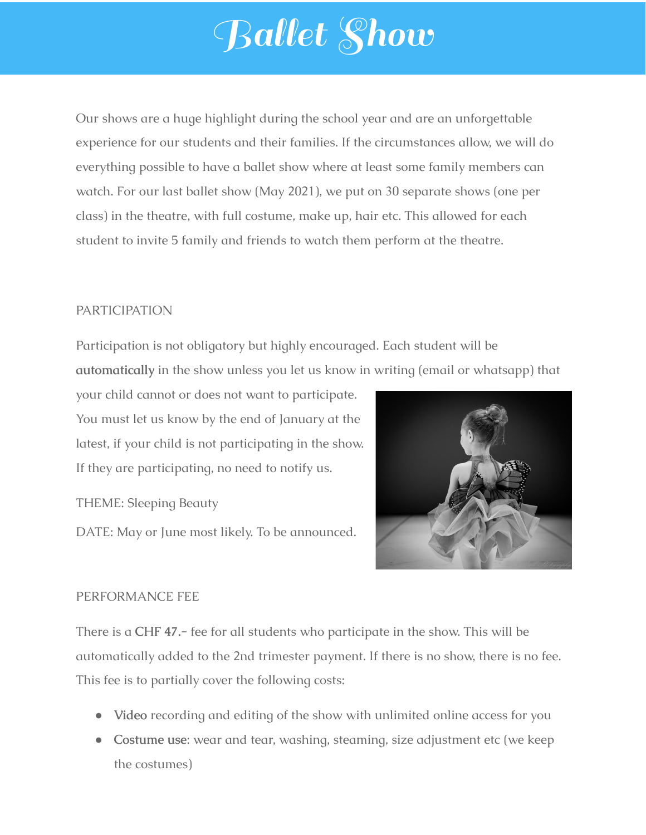## Ballet Show

Our shows are a huge highlight during the school year and are an unforgettable experience for our students and their families. If the circumstances allow, we will do everything possible to have a ballet show where at least some family members can watch. For our last ballet show (May 2021), we put on 30 separate shows (one per class) in the theatre, with full costume, make up, hair etc. This allowed for each student to invite 5 family and friends to watch them perform at the theatre.

## PARTICIPATION

Participation is not obligatory but highly encouraged. Each student will be **automatically** in the show unless you let us know in writing (email or whatsapp) that

your child cannot or does not want to participate. You must let us know by the end of January at the latest, if your child is not participating in the show. If they are participating, no need to notify us.

THEME: Sleeping Beauty

DATE: May or June most likely. To be announced.



## PERFORMANCE FEE

There is a **CHF 47.-** fee for all students who participate in the show. This will be automatically added to the 2nd trimester payment. If there is no show, there is no fee. This fee is to partially cover the following costs:

- **Video** recording and editing of the show with unlimited online access for you
- **Costume use**: wear and tear, washing, steaming, size adjustment etc (we keep the costumes)